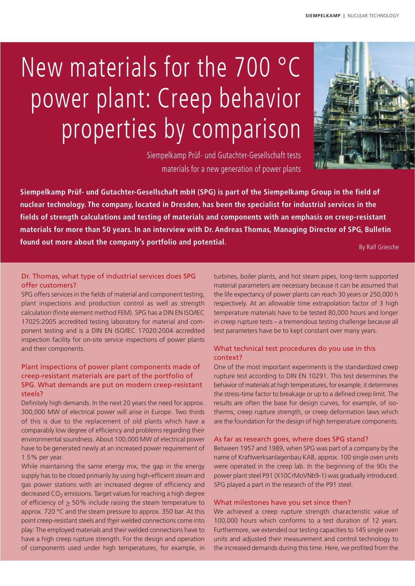# New materials for the 700 °C power plant: Creep behavior properties by comparison



Siempelkamp Prüf- und Gutachter-Gesellschaft tests materials for a new generation of power plants

**Siempelkamp Prüf- und Gutachter-Gesellschaft mbH (SPG) is part of the Siempelkamp Group in the field of nuclear technology. The company, located in Dresden, has been the specialist for industrial services in the fields of strength calculations and testing of materials and components with an emphasis on creep-resistant materials for more than 50 years. In an interview with Dr. Andreas Thomas, Managing Director of SPG, Bulletin found out more about the company's portfolio and potential.**

By Ralf Griesche

## Dr. Thomas, what type of industrial services does SPG offer customers?

SPG offers services in the fields of material and component testing, plant inspections and production control as well as strength calculation (finite element method FEM). SPG has a DIN EN ISO/IEC 17025:2005 accredited testing laboratory for material and component testing and is a DIN EN ISO/IEC 17020:2004 accredited inspection facility for on-site service inspections of power plants and their components.

## Plant inspections of power plant components made of creep-resistant materials are part of the portfolio of SPG. What demands are put on modern creep-resistant steels?

Definitely high demands. In the next 20 years the need for approx. 300,000 MW of electrical power will arise in Europe. Two thirds of this is due to the replacement of old plants which have a comparably low degree of efficiency and problems regarding their environmental soundness. About 100,000 MW of electrical power have to be generated newly at an increased power requirement of 1.5% per year.

While maintaining the same energy mix, the gap in the energy supply has to be closed primarily by using high-efficient steam and gas power stations with an increased degree of efficiency and decreased  $CO<sub>2</sub>$  emissions. Target values for reaching a high degree of efficiency of > 50% include raising the steam temperature to approx. 720 °C and the steam pressure to approx. 350 bar. At this point creep-resistant steels and their welded connections come into play: The employed materials and their welded connections have to have a high creep rupture strength. For the design and operation of components used under high temperatures, for example, in

turbines, boiler plants, and hot steam pipes, long-term supported material parameters are necessary because it can be assumed that the life expectancy of power plants can reach 30 years or 250,000 h respectively. At an allowable time extrapolation factor of 3 high temperature materials have to be tested 80,000 hours and longer in creep rupture tests – a tremendous testing challenge because all test parameters have be to kept constant over many years.

## What technical test procedures do you use in this context?

One of the most important experiments is the standardized creep rupture test according to DIN EN 10291. This test determines the behavior of materials at high temperatures, for example, it determines the stress-time factor to breakage or up to a defined creep limit. The results are often the base for design curves, for example, of isotherms, creep rupture strength, or creep deformation laws which are the foundation for the design of high temperature components.

### As far as research goes, where does SPG stand?

Between 1957 and 1989, when SPG was part of a company by the name of Kraftwerksanlagenbau KAB, approx. 100 single oven units were operated in the creep lab. In the beginning of the 90s the power plant steel P91 (X10CrMoVNb9-1) was gradually introduced. SPG played a part in the research of the P91 steel.

#### What milestones have you set since then?

We achieved a creep rupture strength characteristic value of 100,000 hours which conforms to a test duration of 12 years. Furthermore, we extended our testing capacities to 145 single oven units and adjusted their measurement and control technology to the increased demands during this time. Here, we profited from the